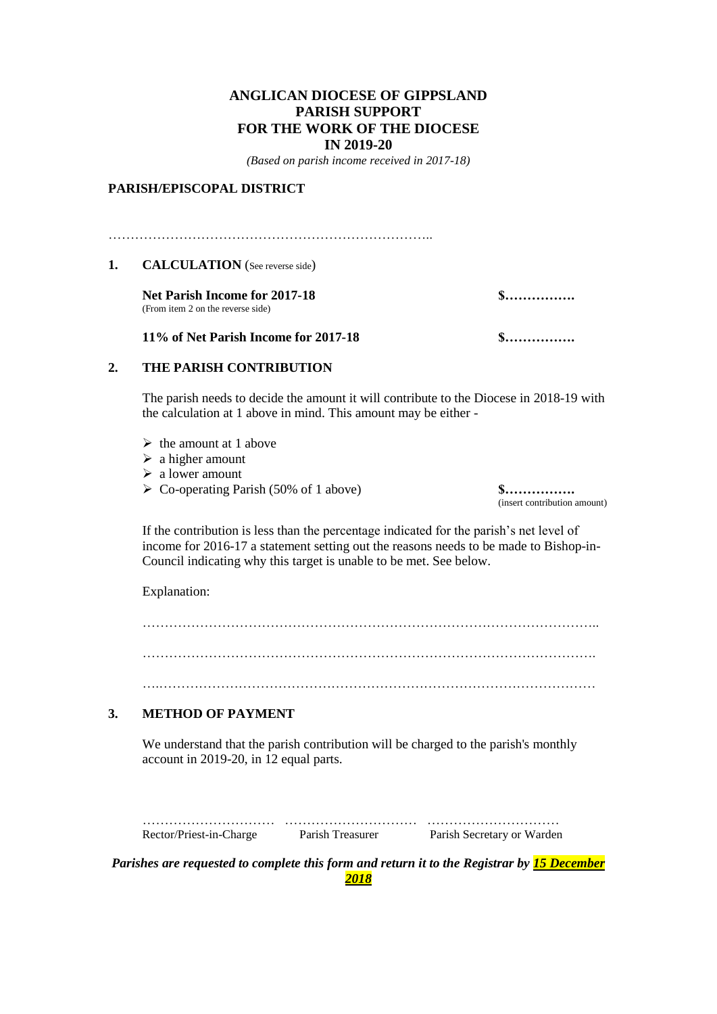### **ANGLICAN DIOCESE OF GIPPSLAND PARISH SUPPORT FOR THE WORK OF THE DIOCESE IN 2019-20**

*(Based on parish income received in 2017-18)*

#### **PARISH/EPISCOPAL DISTRICT**

………………………………………………………………..

#### 1. **CALCULATION** (See reverse side)

**Net Parish Income for 2017-18 \$…………….**  (From item 2 on the reverse side)

**11% of Net Parish Income for 2017-18 \$…………….** 

# **2. THE PARISH CONTRIBUTION**

The parish needs to decide the amount it will contribute to the Diocese in 2018-19 with the calculation at 1 above in mind. This amount may be either -

- $\triangleright$  the amount at 1 above
- $\triangleright$  a higher amount
- ➢ a lower amount
- ➢ Co-operating Parish (50% of 1 above) **\$…………….**

(insert contribution amount)

If the contribution is less than the percentage indicated for the parish's net level of income for 2016-17 a statement setting out the reasons needs to be made to Bishop-in-Council indicating why this target is unable to be met. See below.

Explanation:

…………………………………………………………………………………………. ….………………………………………………………………………………………

#### **3. METHOD OF PAYMENT**

We understand that the parish contribution will be charged to the parish's monthly account in 2019-20, in 12 equal parts.

| Rector/Priest-in-Charge | Parish Treasurer | Parish Secretary or Warden |
|-------------------------|------------------|----------------------------|

*Parishes are requested to complete this form and return it to the Registrar by 15 December 2018*